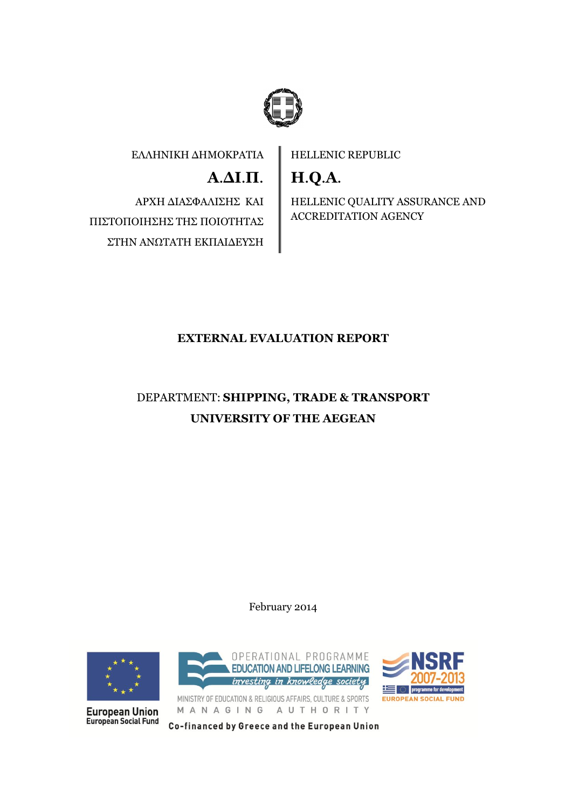

EΛΛΗΝΙΚΗ ΔΗΜΟΚΡΑΤΙΑ

**Α**.**ΔΙ**.**Π**.

ΑΡΧΗ ΔΙΑΣΦΑΛΙΣΗΣ ΚΑΙ ΠΙΣΤΟΠΟΙΗΣΗΣ ΤΗΣ ΠΟΙΟΤΗΤΑΣ ΣΤΗΝ ΑΝΩΤΑΤΗ ΕΚΠΑΙΔΕΥΣΗ HELLENIC REPUBLIC

**H**.**Q**.**A**.

HELLENIC QUALITY ASSURANCE AND ACCREDITATION AGENCY

## **EXTERNAL EVALUATION REPORT**

# DEPARTMENT: **SHIPPING, TRADE & TRANSPORT UNIVERSITY OF THE AEGEAN**

February 2014



**European Union European Social Fund** 





MINISTRY OF EDUCATION & RELIGIOUS AFFAIRS, CULTURE & SPORTS MANAGING AUTHORITY

Co-financed by Greece and the European Union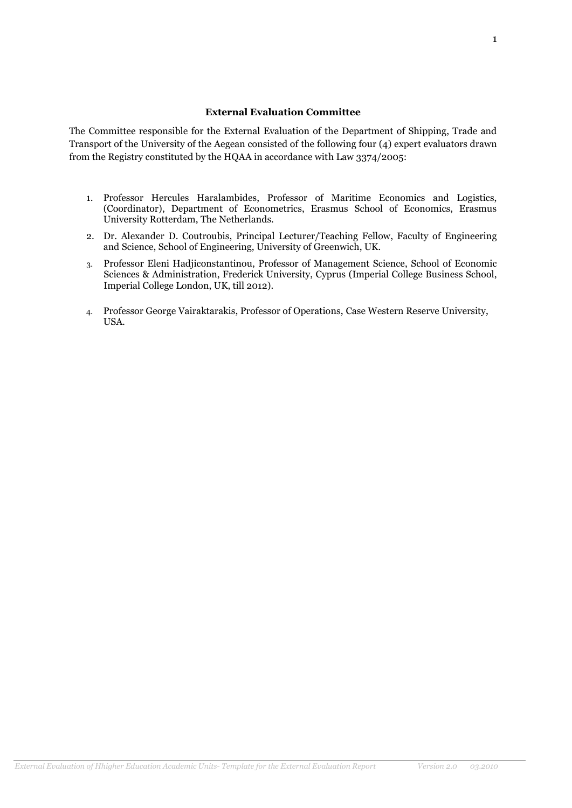#### **External Evaluation Committee**

The Committee responsible for the External Evaluation of the Department of Shipping, Trade and Transport of the University of the Aegean consisted of the following four (4) expert evaluators drawn from the Registry constituted by the HQAA in accordance with Law 3374/2005:

- 1. Professor Hercules Haralambides, Professor of Maritime Economics and Logistics, (Coordinator), Department of Econometrics, Erasmus School of Economics, Erasmus University Rotterdam, The Netherlands.
- 2. Dr. Alexander D. Coutroubis, Principal Lecturer/Teaching Fellow, Faculty of Engineering and Science, School of Engineering, University of Greenwich, UK.
- 3. Professor Eleni Hadjiconstantinou, Professor of Management Science, School of Economic Sciences & Administration, Frederick University, Cyprus (Imperial College Business School, Imperial College London, UK, till 2012).
- 4. Professor George Vairaktarakis, Professor of Operations, Case Western Reserve University, USA.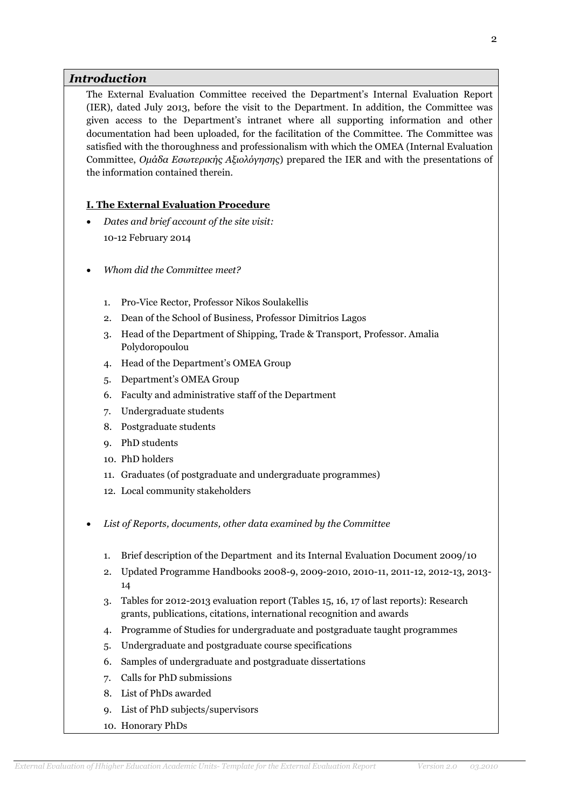## *Introduction*

The External Evaluation Committee received the Department's Internal Evaluation Report (IER), dated July 2013, before the visit to the Department. In addition, the Committee was given access to the Department's intranet where all supporting information and other documentation had been uploaded, for the facilitation of the Committee. The Committee was satisfied with the thoroughness and professionalism with which the OMEA (Internal Evaluation Committee, *Ομάδα Εσωτερικής Αξιολόγησης*) prepared the IER and with the presentations of the information contained therein.

### **I. The External Evaluation Procedure**

- *Dates and brief account of the site visit:* 10-12 February 2014
- *Whom did the Committee meet?* 
	- 1. Pro-Vice Rector, Professor Nikos Soulakellis
	- 2. Dean of the School of Business, Professor Dimitrios Lagos
	- 3. Head of the Department of Shipping, Trade & Transport, Professor. Amalia Polydoropoulou
	- 4. Head of the Department's OMEA Group
	- 5. Department's OMEA Group
	- 6. Faculty and administrative staff of the Department
	- 7. Undergraduate students
	- 8. Postgraduate students
	- 9. PhD students
	- 10. PhD holders
	- 11. Graduates (of postgraduate and undergraduate programmes)
	- 12. Local community stakeholders
- *List of Reports, documents, other data examined by the Committee*
	- 1. Brief description of the Department and its Internal Evaluation Document 2009/10
	- 2. Updated Programme Handbooks 2008-9, 2009-2010, 2010-11, 2011-12, 2012-13, 2013- 14
	- 3. Tables for 2012-2013 evaluation report (Tables 15, 16, 17 of last reports): Research grants, publications, citations, international recognition and awards
	- 4. Programme of Studies for undergraduate and postgraduate taught programmes
	- 5. Undergraduate and postgraduate course specifications
	- 6. Samples of undergraduate and postgraduate dissertations
	- 7. Calls for PhD submissions
	- 8. List of PhDs awarded
	- 9. List of PhD subjects/supervisors
	- 10. Honorary PhDs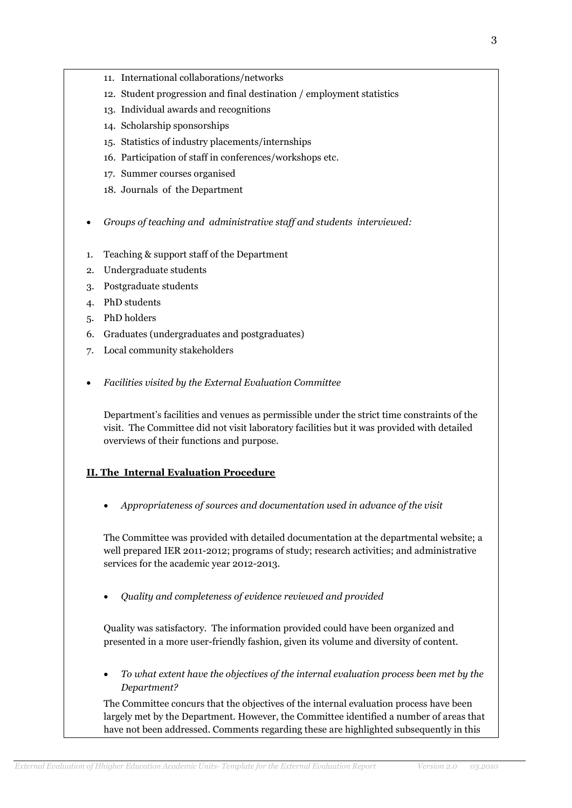- 
- 
- 11. International collaborations/networks
- 12. Student progression and final destination / employment statistics
- 13. Individual awards and recognitions
- 14. Scholarship sponsorships
- 15. Statistics of industry placements/internships
- 16. Participation of staff in conferences/workshops etc.
- 17. Summer courses organised
- 18. Journals of the Department
- *Groups of teaching and administrative staff and students interviewed:*
- 1. Teaching & support staff of the Department
- 2. Undergraduate students
- 3. Postgraduate students
- 4. PhD students
- 5. PhD holders
- 6. Graduates (undergraduates and postgraduates)
- 7. Local community stakeholders
- *Facilities visited by the External Evaluation Committee*

Department's facilities and venues as permissible under the strict time constraints of the visit. The Committee did not visit laboratory facilities but it was provided with detailed overviews of their functions and purpose.

#### **II. The Internal Evaluation Procedure**

*Appropriateness of sources and documentation used in advance of the visit* 

The Committee was provided with detailed documentation at the departmental website; a well prepared IER 2011-2012; programs of study; research activities; and administrative services for the academic year 2012-2013.

*Quality and completeness of evidence reviewed and provided*

Quality was satisfactory. The information provided could have been organized and presented in a more user-friendly fashion, given its volume and diversity of content.

 *To what extent have the objectives of the internal evaluation process been met by the Department?* 

The Committee concurs that the objectives of the internal evaluation process have been largely met by the Department. However, the Committee identified a number of areas that have not been addressed. Comments regarding these are highlighted subsequently in this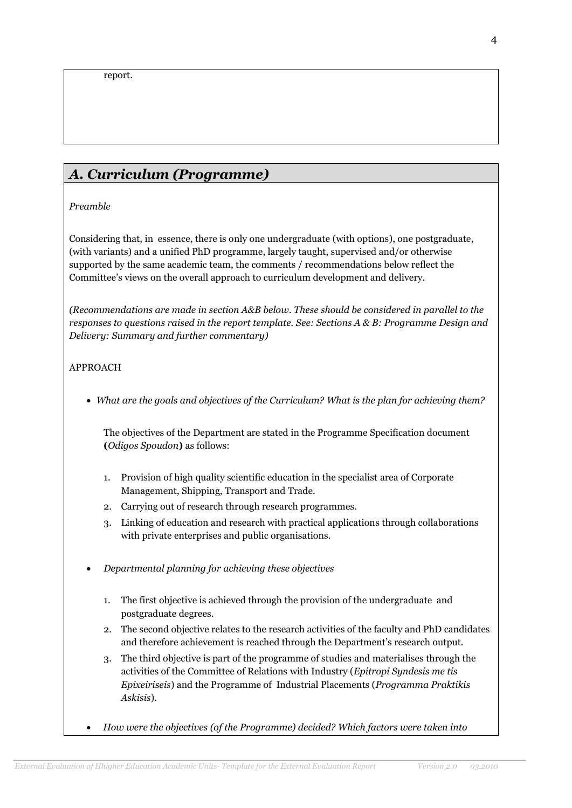## *Α. Curriculum (Programme)*

*Preamble*

Considering that, in essence, there is only one undergraduate (with options), one postgraduate, (with variants) and a unified PhD programme, largely taught, supervised and/or otherwise supported by the same academic team, the comments / recommendations below reflect the Committee's views on the overall approach to curriculum development and delivery.

*(Recommendations are made in section A&B below. These should be considered in parallel to the responses to questions raised in the report template. See: Sections A & B: Programme Design and Delivery: Summary and further commentary)*

## APPROACH

*What are the goals and objectives of the Curriculum? What is the plan for achieving them?*

The objectives of the Department are stated in the Programme Specification document **(***Odigos Spoudon***)** as follows:

- 1. Provision of high quality scientific education in the specialist area of Corporate Management, Shipping, Transport and Trade.
- 2. Carrying out of research through research programmes.
- 3. Linking of education and research with practical applications through collaborations with private enterprises and public organisations.
- *Departmental planning for achieving these objectives*
	- 1. The first objective is achieved through the provision of the undergraduate and postgraduate degrees.
	- 2. The second objective relates to the research activities of the faculty and PhD candidates and therefore achievement is reached through the Department's research output.
	- 3. The third objective is part of the programme of studies and materialises through the activities of the Committee of Relations with Industry (*Epitropi Syndesis me tis Epixeiriseis*) and the Programme of Industrial Placements (*Programma Praktikis Askisis*).
- *How were the objectives (of the Programme) decided? Which factors were taken into*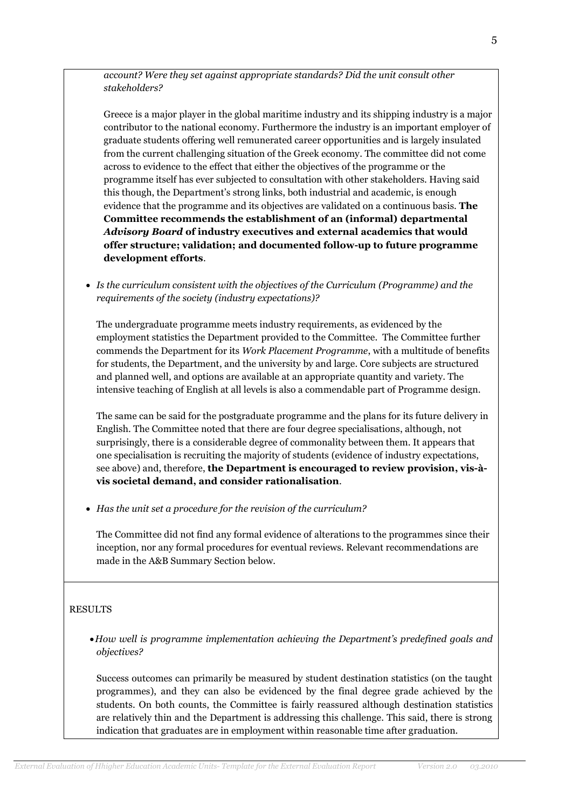*account? Were they set against appropriate standards? Did the unit consult other stakeholders?*

Greece is a major player in the global maritime industry and its shipping industry is a major contributor to the national economy. Furthermore the industry is an important employer of graduate students offering well remunerated career opportunities and is largely insulated from the current challenging situation of the Greek economy. The committee did not come across to evidence to the effect that either the objectives of the programme or the programme itself has ever subjected to consultation with other stakeholders. Having said this though, the Department's strong links, both industrial and academic, is enough evidence that the programme and its objectives are validated on a continuous basis. **The Committee recommends the establishment of an (informal) departmental**  *Advisory Board* **of industry executives and external academics that would offer structure; validation; and documented follow-up to future programme development efforts**.

 *Is the curriculum consistent with the objectives of the Curriculum (Programme) and the requirements of the society (industry expectations)?*

The undergraduate programme meets industry requirements, as evidenced by the employment statistics the Department provided to the Committee. The Committee further commends the Department for its *Work Placement Programme*, with a multitude of benefits for students, the Department, and the university by and large. Core subjects are structured and planned well, and options are available at an appropriate quantity and variety. The intensive teaching of English at all levels is also a commendable part of Programme design.

The same can be said for the postgraduate programme and the plans for its future delivery in English. The Committee noted that there are four degree specialisations, although, not surprisingly, there is a considerable degree of commonality between them. It appears that one specialisation is recruiting the majority of students (evidence of industry expectations, see above) and, therefore, **the Department is encouraged to review provision, vis-àvis societal demand, and consider rationalisation**.

*Has the unit set a procedure for the revision of the curriculum?* 

The Committee did not find any formal evidence of alterations to the programmes since their inception, nor any formal procedures for eventual reviews. Relevant recommendations are made in the A&B Summary Section below.

#### RESULTS

*How well is programme implementation achieving the Department's predefined goals and objectives?*

Success outcomes can primarily be measured by student destination statistics (on the taught programmes), and they can also be evidenced by the final degree grade achieved by the students. On both counts, the Committee is fairly reassured although destination statistics are relatively thin and the Department is addressing this challenge. This said, there is strong indication that graduates are in employment within reasonable time after graduation.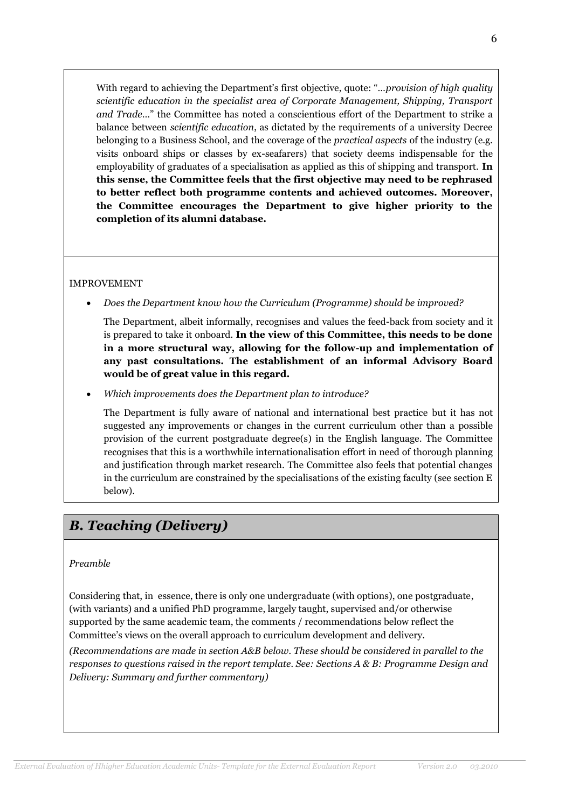With regard to achieving the Department's first objective, quote: "…*provision of high quality scientific education in the specialist area of Corporate Management, Shipping, Transport and Trade*…" the Committee has noted a conscientious effort of the Department to strike a balance between *scientific education*, as dictated by the requirements of a university Decree belonging to a Business School, and the coverage of the *practical aspects* of the industry (e.g. visits onboard ships or classes by ex-seafarers) that society deems indispensable for the employability of graduates of a specialisation as applied as this of shipping and transport. **In this sense, the Committee feels that the first objective may need to be rephrased to better reflect both programme contents and achieved outcomes. Moreover, the Committee encourages the Department to give higher priority to the completion of its alumni database.** 

## IMPROVEMENT

*Does the Department know how the Curriculum (Programme) should be improved?*

The Department, albeit informally, recognises and values the feed-back from society and it is prepared to take it onboard. **In the view of this Committee, this needs to be done in a more structural way, allowing for the follow-up and implementation of any past consultations. The establishment of an informal Advisory Board would be of great value in this regard.**

*Which improvements does the Department plan to introduce?*

The Department is fully aware of national and international best practice but it has not suggested any improvements or changes in the current curriculum other than a possible provision of the current postgraduate degree(s) in the English language. The Committee recognises that this is a worthwhile internationalisation effort in need of thorough planning and justification through market research. The Committee also feels that potential changes in the curriculum are constrained by the specialisations of the existing faculty (see section E below).

## *B. Teaching (Delivery)*

#### *Preamble*

Considering that, in essence, there is only one undergraduate (with options), one postgraduate, (with variants) and a unified PhD programme, largely taught, supervised and/or otherwise supported by the same academic team, the comments / recommendations below reflect the Committee's views on the overall approach to curriculum development and delivery.

*(Recommendations are made in section A&B below. These should be considered in parallel to the responses to questions raised in the report template. See: Sections A & B: Programme Design and Delivery: Summary and further commentary)*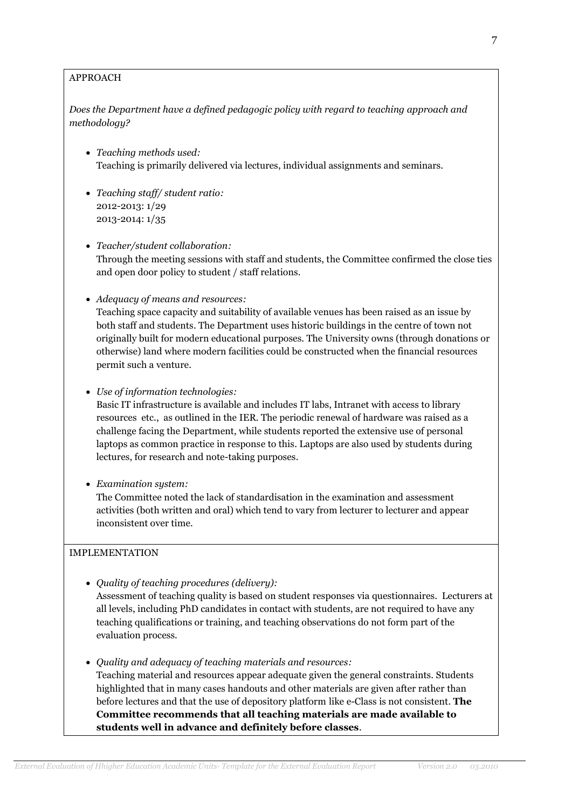## APPROACH

*Does the Department have a defined pedagogic policy with regard to teaching approach and methodology?*

- *Teaching methods used:* Teaching is primarily delivered via lectures, individual assignments and seminars.
- *Teaching staff/ student ratio:* 2012-2013: 1/29 2013-2014: 1/35
- *Teacher/student collaboration:* Through the meeting sessions with staff and students, the Committee confirmed the close ties and open door policy to student / staff relations.
- *Adequacy of means and resources:*

Teaching space capacity and suitability of available venues has been raised as an issue by both staff and students. The Department uses historic buildings in the centre of town not originally built for modern educational purposes. The University owns (through donations or otherwise) land where modern facilities could be constructed when the financial resources permit such a venture.

*Use of information technologies:*

Basic IT infrastructure is available and includes IT labs, Intranet with access to library resources etc., as outlined in the IER. The periodic renewal of hardware was raised as a challenge facing the Department, while students reported the extensive use of personal laptops as common practice in response to this. Laptops are also used by students during lectures, for research and note-taking purposes.

*Examination system:*

The Committee noted the lack of standardisation in the examination and assessment activities (both written and oral) which tend to vary from lecturer to lecturer and appear inconsistent over time.

## IMPLEMENTATION

*Quality of teaching procedures (delivery):*

Assessment of teaching quality is based on student responses via questionnaires. Lecturers at all levels, including PhD candidates in contact with students, are not required to have any teaching qualifications or training, and teaching observations do not form part of the evaluation process.

*Quality and adequacy of teaching materials and resources:*

Teaching material and resources appear adequate given the general constraints. Students highlighted that in many cases handouts and other materials are given after rather than before lectures and that the use of depository platform like e-Class is not consistent. **The Committee recommends that all teaching materials are made available to students well in advance and definitely before classes**.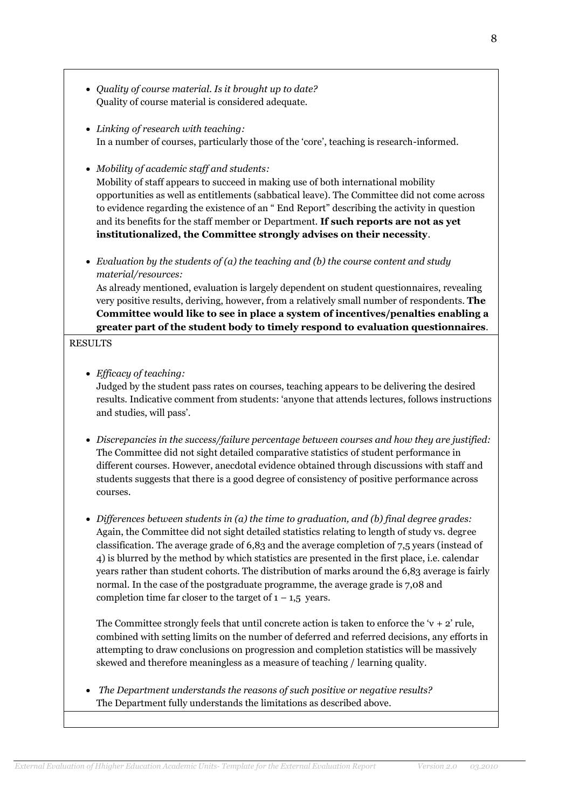- *Quality of course material. Is it brought up to date?* Quality of course material is considered adequate.
- *Linking of research with teaching:* In a number of courses, particularly those of the 'core', teaching is research-informed.
- *Mobility of academic staff and students:*

Mobility of staff appears to succeed in making use of both international mobility opportunities as well as entitlements (sabbatical leave). The Committee did not come across to evidence regarding the existence of an " End Report" describing the activity in question and its benefits for the staff member or Department. **If such reports are not as yet institutionalized, the Committee strongly advises on their necessity**.

 *Evaluation by the students of (a) the teaching and (b) the course content and study material/resources:*

As already mentioned, evaluation is largely dependent on student questionnaires, revealing very positive results, deriving, however, from a relatively small number of respondents. **The Committee would like to see in place a system of incentives/penalties enabling a greater part of the student body to timely respond to evaluation questionnaires**.

### RESULTS

*Efficacy of teaching:*

Judged by the student pass rates on courses, teaching appears to be delivering the desired results. Indicative comment from students: 'anyone that attends lectures, follows instructions and studies, will pass'.

- *Discrepancies in the success/failure percentage between courses and how they are justified:* The Committee did not sight detailed comparative statistics of student performance in different courses. However, anecdotal evidence obtained through discussions with staff and students suggests that there is a good degree of consistency of positive performance across courses.
- *Differences between students in (a) the time to graduation, and (b) final degree grades:* Again, the Committee did not sight detailed statistics relating to length of study vs. degree classification. The average grade of 6,83 and the average completion of 7,5 years (instead of 4) is blurred by the method by which statistics are presented in the first place, i.e. calendar years rather than student cohorts. The distribution of marks around the 6,83 average is fairly normal. In the case of the postgraduate programme, the average grade is 7,08 and completion time far closer to the target of  $1 - 1.5$  years.

The Committee strongly feels that until concrete action is taken to enforce the ' $v + 2$ ' rule, combined with setting limits on the number of deferred and referred decisions, any efforts in attempting to draw conclusions on progression and completion statistics will be massively skewed and therefore meaningless as a measure of teaching / learning quality.

 *The Department understands the reasons of such positive or negative results?*  The Department fully understands the limitations as described above.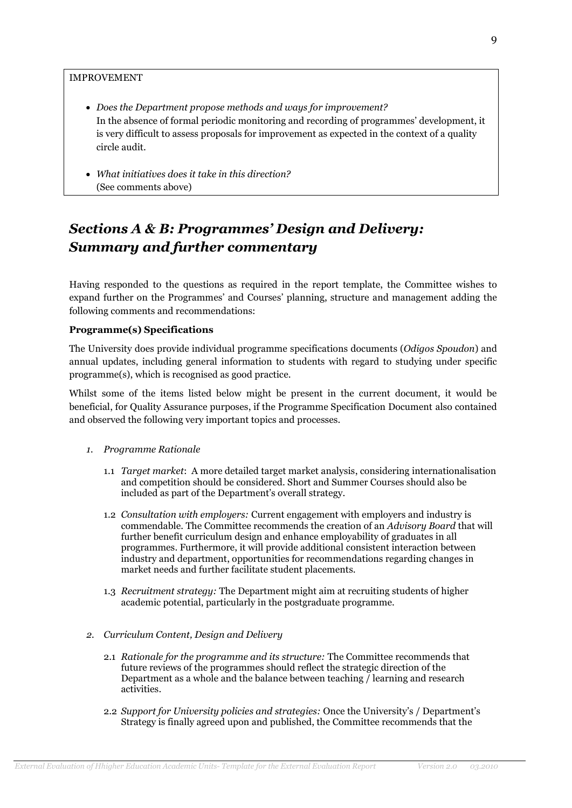#### IMPROVEMENT

- *Does the Department propose methods and ways for improvement?* In the absence of formal periodic monitoring and recording of programmes' development, it is very difficult to assess proposals for improvement as expected in the context of a quality circle audit.
- *What initiatives does it take in this direction?* (See comments above)

# *Sections A & B: Programmes' Design and Delivery: Summary and further commentary*

Having responded to the questions as required in the report template, the Committee wishes to expand further on the Programmes' and Courses' planning, structure and management adding the following comments and recommendations:

#### **Programme(s) Specifications**

The University does provide individual programme specifications documents (*Odigos Spoudon*) and annual updates, including general information to students with regard to studying under specific programme(s), which is recognised as good practice.

Whilst some of the items listed below might be present in the current document, it would be beneficial, for Quality Assurance purposes, if the Programme Specification Document also contained and observed the following very important topics and processes.

- *1. Programme Rationale*
	- 1.1 *Target market*: A more detailed target market analysis, considering internationalisation and competition should be considered. Short and Summer Courses should also be included as part of the Department's overall strategy.
	- 1.2 *Consultation with employers:* Current engagement with employers and industry is commendable. The Committee recommends the creation of an *Advisory Board* that will further benefit curriculum design and enhance employability of graduates in all programmes. Furthermore, it will provide additional consistent interaction between industry and department, opportunities for recommendations regarding changes in market needs and further facilitate student placements.
	- 1.3 *Recruitment strategy:* The Department might aim at recruiting students of higher academic potential, particularly in the postgraduate programme.
- *2. Curriculum Content, Design and Delivery*
	- 2.1 *Rationale for the programme and its structure:* The Committee recommends that future reviews of the programmes should reflect the strategic direction of the Department as a whole and the balance between teaching / learning and research activities.
	- 2.2 *Support for University policies and strategies:* Once the University's / Department's Strategy is finally agreed upon and published, the Committee recommends that the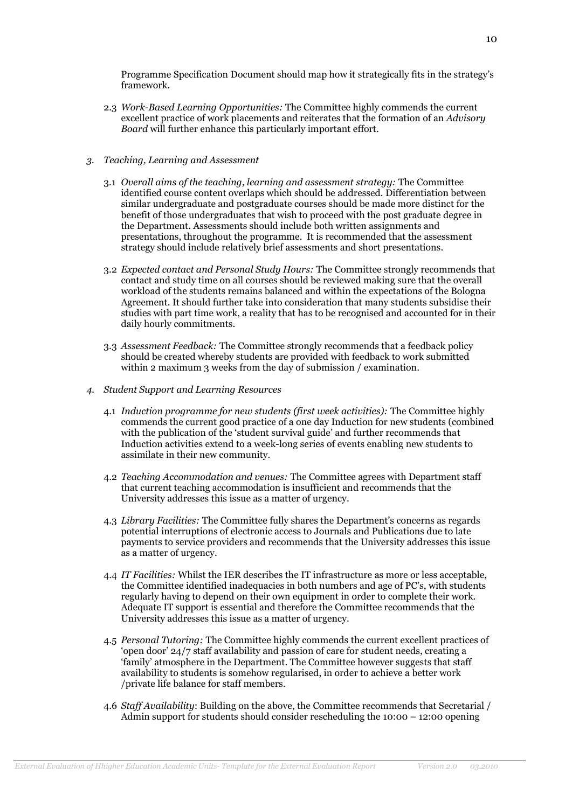Programme Specification Document should map how it strategically fits in the strategy's framework.

- 2.3 *Work-Based Learning Opportunities:* The Committee highly commends the current excellent practice of work placements and reiterates that the formation of an *Advisory Board* will further enhance this particularly important effort.
- *3. Teaching, Learning and Assessment*
	- 3.1 *Overall aims of the teaching, learning and assessment strategy:* The Committee identified course content overlaps which should be addressed. Differentiation between similar undergraduate and postgraduate courses should be made more distinct for the benefit of those undergraduates that wish to proceed with the post graduate degree in the Department. Assessments should include both written assignments and presentations, throughout the programme. It is recommended that the assessment strategy should include relatively brief assessments and short presentations.
	- 3.2 *Expected contact and Personal Study Hours:* The Committee strongly recommends that contact and study time on all courses should be reviewed making sure that the overall workload of the students remains balanced and within the expectations of the Bologna Agreement. It should further take into consideration that many students subsidise their studies with part time work, a reality that has to be recognised and accounted for in their daily hourly commitments.
	- 3.3 *Assessment Feedback:* The Committee strongly recommends that a feedback policy should be created whereby students are provided with feedback to work submitted within 2 maximum 3 weeks from the day of submission / examination.
- *4. Student Support and Learning Resources*
	- 4.1 *Induction programme for new students (first week activities):* The Committee highly commends the current good practice of a one day Induction for new students (combined with the publication of the 'student survival guide' and further recommends that Induction activities extend to a week-long series of events enabling new students to assimilate in their new community.
	- 4.2 *Teaching Accommodation and venues:* The Committee agrees with Department staff that current teaching accommodation is insufficient and recommends that the University addresses this issue as a matter of urgency.
	- 4.3 *Library Facilities:* The Committee fully shares the Department's concerns as regards potential interruptions of electronic access to Journals and Publications due to late payments to service providers and recommends that the University addresses this issue as a matter of urgency.
	- 4.4 *IT Facilities:* Whilst the IER describes the IT infrastructure as more or less acceptable, the Committee identified inadequacies in both numbers and age of PC's, with students regularly having to depend on their own equipment in order to complete their work. Adequate IT support is essential and therefore the Committee recommends that the University addresses this issue as a matter of urgency.
	- 4.5 *Personal Tutoring:* The Committee highly commends the current excellent practices of 'open door' 24/7 staff availability and passion of care for student needs, creating a 'family' atmosphere in the Department. The Committee however suggests that staff availability to students is somehow regularised, in order to achieve a better work /private life balance for staff members.
	- 4.6 *Staff Availability*: Building on the above, the Committee recommends that Secretarial / Admin support for students should consider rescheduling the 10:00 – 12:00 opening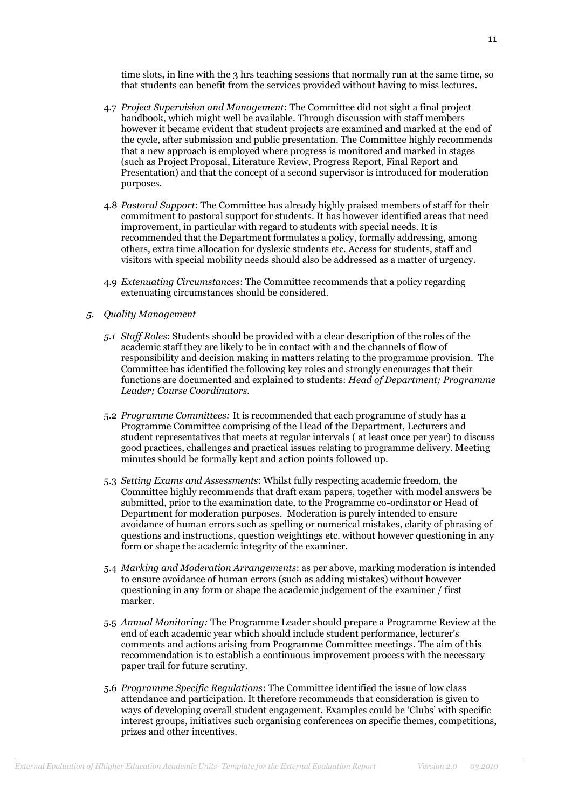time slots, in line with the 3 hrs teaching sessions that normally run at the same time, so that students can benefit from the services provided without having to miss lectures.

- 4.7 *Project Supervision and Management*: The Committee did not sight a final project handbook, which might well be available. Through discussion with staff members however it became evident that student projects are examined and marked at the end of the cycle, after submission and public presentation. The Committee highly recommends that a new approach is employed where progress is monitored and marked in stages (such as Project Proposal, Literature Review, Progress Report, Final Report and Presentation) and that the concept of a second supervisor is introduced for moderation purposes.
- 4.8 *Pastoral Support*: The Committee has already highly praised members of staff for their commitment to pastoral support for students. It has however identified areas that need improvement, in particular with regard to students with special needs. It is recommended that the Department formulates a policy, formally addressing, among others, extra time allocation for dyslexic students etc. Access for students, staff and visitors with special mobility needs should also be addressed as a matter of urgency.
- 4.9 *Extenuating Circumstances*: The Committee recommends that a policy regarding extenuating circumstances should be considered.
- *5. Quality Management*
	- *5.1 Staff Roles*: Students should be provided with a clear description of the roles of the academic staff they are likely to be in contact with and the channels of flow of responsibility and decision making in matters relating to the programme provision. The Committee has identified the following key roles and strongly encourages that their functions are documented and explained to students: *Head of Department; Programme Leader; Course Coordinators.*
	- 5.2 *Programme Committees:* It is recommended that each programme of study has a Programme Committee comprising of the Head of the Department, Lecturers and student representatives that meets at regular intervals ( at least once per year) to discuss good practices, challenges and practical issues relating to programme delivery. Meeting minutes should be formally kept and action points followed up.
	- 5.3 *Setting Exams and Assessments*: Whilst fully respecting academic freedom, the Committee highly recommends that draft exam papers, together with model answers be submitted, prior to the examination date, to the Programme co-ordinator or Head of Department for moderation purposes. Moderation is purely intended to ensure avoidance of human errors such as spelling or numerical mistakes, clarity of phrasing of questions and instructions, question weightings etc. without however questioning in any form or shape the academic integrity of the examiner.
	- 5.4 *Marking and Moderation Arrangements*: as per above, marking moderation is intended to ensure avoidance of human errors (such as adding mistakes) without however questioning in any form or shape the academic judgement of the examiner / first marker.
	- 5.5 *Annual Monitoring:* The Programme Leader should prepare a Programme Review at the end of each academic year which should include student performance, lecturer's comments and actions arising from Programme Committee meetings. The aim of this recommendation is to establish a continuous improvement process with the necessary paper trail for future scrutiny.
	- 5.6 *Programme Specific Regulations*: The Committee identified the issue of low class attendance and participation. It therefore recommends that consideration is given to ways of developing overall student engagement. Examples could be 'Clubs' with specific interest groups, initiatives such organising conferences on specific themes, competitions, prizes and other incentives.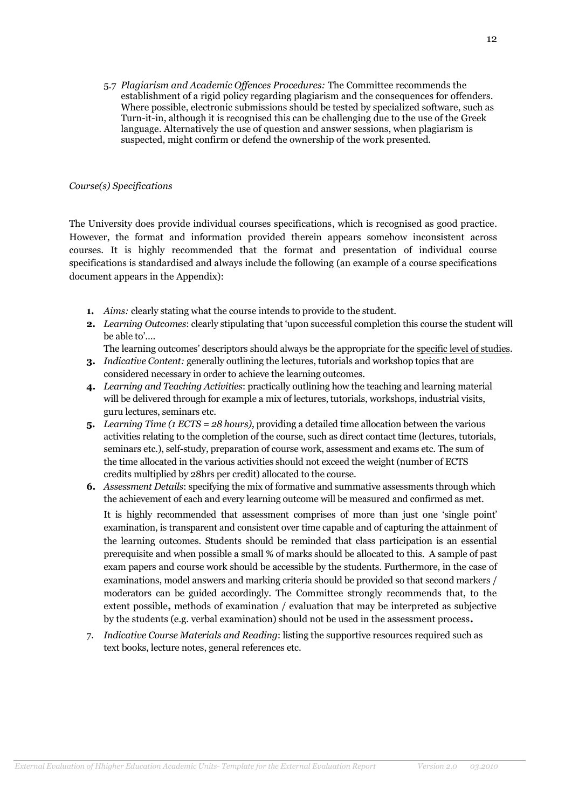5.7 *Plagiarism and Academic Offences Procedures:* The Committee recommends the establishment of a rigid policy regarding plagiarism and the consequences for offenders. Where possible, electronic submissions should be tested by specialized software, such as Turn-it-in, although it is recognised this can be challenging due to the use of the Greek language. Alternatively the use of question and answer sessions, when plagiarism is suspected, might confirm or defend the ownership of the work presented.

#### *Course(s) Specifications*

The University does provide individual courses specifications, which is recognised as good practice. However, the format and information provided therein appears somehow inconsistent across courses. It is highly recommended that the format and presentation of individual course specifications is standardised and always include the following (an example of a course specifications document appears in the Appendix):

- **1.** *Aims:* clearly stating what the course intends to provide to the student.
- **2.** *Learning Outcomes*: clearly stipulating that 'upon successful completion this course the student will be able to'….

The learning outcomes' descriptors should always be the appropriate for the specific level of studies.

- **3.** *Indicative Content:* generally outlining the lectures, tutorials and workshop topics that are considered necessary in order to achieve the learning outcomes.
- **4.** *Learning and Teaching Activities*: practically outlining how the teaching and learning material will be delivered through for example a mix of lectures, tutorials, workshops, industrial visits, guru lectures, seminars etc.
- **5.** *Learning Time (1 ECTS = 28 hours)*, providing a detailed time allocation between the various activities relating to the completion of the course, such as direct contact time (lectures, tutorials, seminars etc.), self-study, preparation of course work, assessment and exams etc. The sum of the time allocated in the various activities should not exceed the weight (number of ECTS credits multiplied by 28hrs per credit) allocated to the course.
- **6.** *Assessment Details*: specifying the mix of formative and summative assessments through which the achievement of each and every learning outcome will be measured and confirmed as met.

It is highly recommended that assessment comprises of more than just one 'single point' examination, is transparent and consistent over time capable and of capturing the attainment of the learning outcomes. Students should be reminded that class participation is an essential prerequisite and when possible a small % of marks should be allocated to this. A sample of past exam papers and course work should be accessible by the students. Furthermore, in the case of examinations, model answers and marking criteria should be provided so that second markers / moderators can be guided accordingly. The Committee strongly recommends that, to the extent possible**,** methods of examination / evaluation that may be interpreted as subjective by the students (e.g. verbal examination) should not be used in the assessment process**.**

7. *Indicative Course Materials and Reading*: listing the supportive resources required such as text books, lecture notes, general references etc.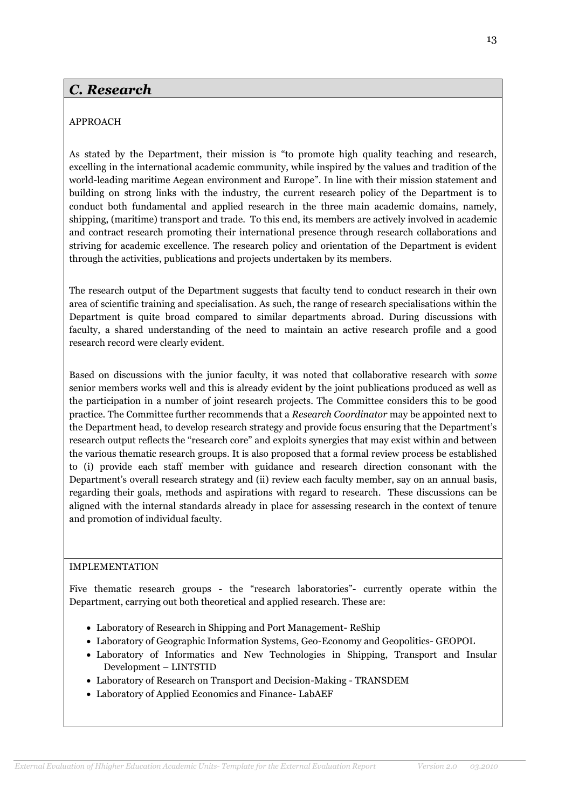## *C. Research*

## APPROACH

As stated by the Department, their mission is "to promote high quality teaching and research, excelling in the international academic community, while inspired by the values and tradition of the world-leading maritime Aegean environment and Europe". In line with their mission statement and building on strong links with the industry, the current research policy of the Department is to conduct both fundamental and applied research in the three main academic domains, namely, shipping, (maritime) transport and trade. To this end, its members are actively involved in academic and contract research promoting their international presence through research collaborations and striving for academic excellence. The research policy and orientation of the Department is evident through the activities, publications and projects undertaken by its members.

The research output of the Department suggests that faculty tend to conduct research in their own area of scientific training and specialisation. As such, the range of research specialisations within the Department is quite broad compared to similar departments abroad. During discussions with faculty, a shared understanding of the need to maintain an active research profile and a good research record were clearly evident.

Based on discussions with the junior faculty, it was noted that collaborative research with *some* senior members works well and this is already evident by the joint publications produced as well as the participation in a number of joint research projects. The Committee considers this to be good practice. The Committee further recommends that a *Research Coordinator* may be appointed next to the Department head, to develop research strategy and provide focus ensuring that the Department's research output reflects the "research core" and exploits synergies that may exist within and between the various thematic research groups. It is also proposed that a formal review process be established to (i) provide each staff member with guidance and research direction consonant with the Department's overall research strategy and (ii) review each faculty member, say on an annual basis, regarding their goals, methods and aspirations with regard to research. These discussions can be aligned with the internal standards already in place for assessing research in the context of tenure and promotion of individual faculty.

## IMPLEMENTATION

Five thematic research groups - the "research laboratories"- currently operate within the Department, carrying out both theoretical and applied research. These are:

- Laboratory of Research in Shipping and Port Management- ReShip
- [Laboratory of Geographic Information Systems, Geo-Economy and Geopolitics-](http://www.stt.aegean.gr/geopolab/GEOPOL%20PROFILE.htm) GEOPOL
- Laboratory of Informatics and New Technologies in Shipping, Transport and Insular Development – LINTSTID
- Laboratory of Research on Transport and Decision-Making TRANSDEM
- Laboratory of Applied Economics and Finance- LabAEF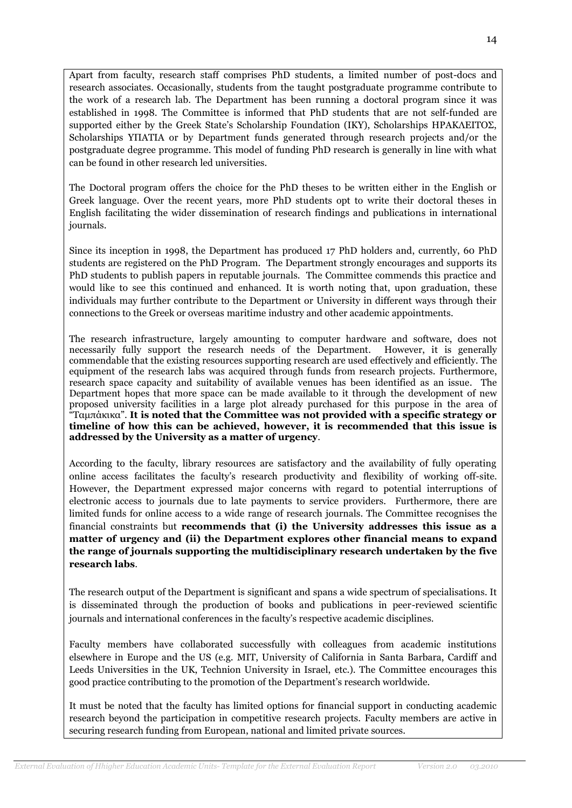Apart from faculty, research staff comprises PhD students, a limited number of post-docs and research associates. Occasionally, students from the taught postgraduate programme contribute to the work of a research lab. The Department has been running a doctoral program since it was established in 1998. The Committee is informed that PhD students that are not self-funded are supported either by the Greek State's Scholarship Foundation (IKY), Scholarships ΗΡΑΚΛΕΙΤΟΣ, Scholarships ΥΠΑΤΙΑ or by Department funds generated through research projects and/or the postgraduate degree programme. This model of funding PhD research is generally in line with what can be found in other research led universities.

The Doctoral program offers the choice for the PhD theses to be written either in the English or Greek language. Over the recent years, more PhD students opt to write their doctoral theses in English facilitating the wider dissemination of research findings and publications in international journals.

Since its inception in 1998, the Department has produced 17 PhD holders and, currently, 60 PhD students are registered on the PhD Program. The Department strongly encourages and supports its PhD students to publish papers in reputable journals. The Committee commends this practice and would like to see this continued and enhanced. It is worth noting that, upon graduation, these individuals may further contribute to the Department or University in different ways through their connections to the Greek or overseas maritime industry and other academic appointments.

The research infrastructure, largely amounting to computer hardware and software, does not necessarily fully support the research needs of the Department. However, it is generally commendable that the existing resources supporting research are used effectively and efficiently. The equipment of the research labs was acquired through funds from research projects. Furthermore, research space capacity and suitability of available venues has been identified as an issue. The Department hopes that more space can be made available to it through the development of new proposed university facilities in a large plot already purchased for this purpose in the area of "Ταμπάκικα". **It is noted that the Committee was not provided with a specific strategy or timeline of how this can be achieved, however, it is recommended that this issue is addressed by the University as a matter of urgency**.

According to the faculty, library resources are satisfactory and the availability of fully operating online access facilitates the faculty's research productivity and flexibility of working off-site. However, the Department expressed major concerns with regard to potential interruptions of electronic access to journals due to late payments to service providers. Furthermore, there are limited funds for online access to a wide range of research journals. The Committee recognises the financial constraints but **recommends that (i) the University addresses this issue as a matter of urgency and (ii) the Department explores other financial means to expand the range of journals supporting the multidisciplinary research undertaken by the five research labs**.

The research output of the Department is significant and spans a wide spectrum of specialisations. It is disseminated through the production of books and publications in peer-reviewed scientific journals and international conferences in the faculty's respective academic disciplines.

Faculty members have collaborated successfully with colleagues from academic institutions elsewhere in Europe and the US (e.g. MIT, University of California in Santa Barbara, Cardiff and Leeds Universities in the UK, Technion University in Israel, etc.). The Committee encourages this good practice contributing to the promotion of the Department's research worldwide.

It must be noted that the faculty has limited options for financial support in conducting academic research beyond the participation in competitive research projects. Faculty members are active in securing research funding from European, national and limited private sources.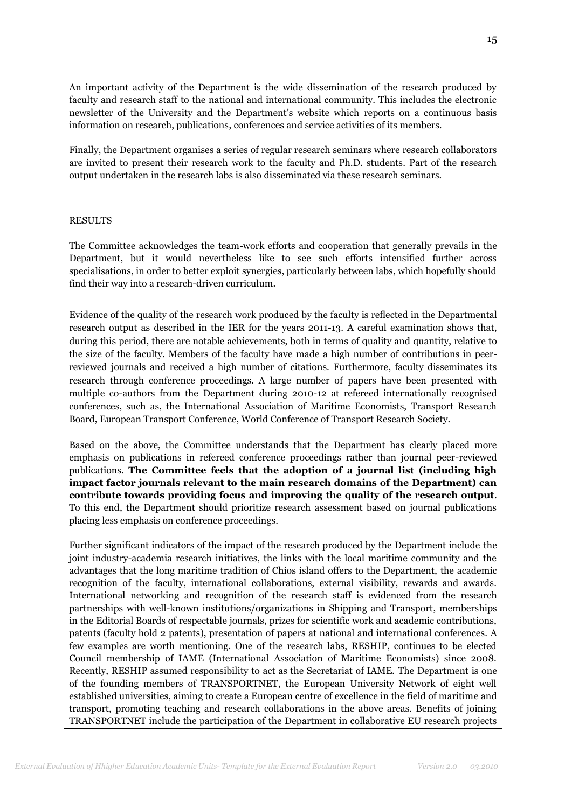An important activity of the Department is the wide dissemination of the research produced by faculty and research staff to the national and international community. This includes the electronic newsletter of the University and the Department's website which reports on a continuous basis information on research, publications, conferences and service activities of its members.

Finally, the Department organises a series of regular research seminars where research collaborators are invited to present their research work to the faculty and Ph.D. students. Part of the research output undertaken in the research labs is also disseminated via these research seminars.

### RESULTS

The Committee acknowledges the team-work efforts and cooperation that generally prevails in the Department, but it would nevertheless like to see such efforts intensified further across specialisations, in order to better exploit synergies, particularly between labs, which hopefully should find their way into a research-driven curriculum.

Evidence of the quality of the research work produced by the faculty is reflected in the Departmental research output as described in the IER for the years 2011-13. A careful examination shows that, during this period, there are notable achievements, both in terms of quality and quantity, relative to the size of the faculty. Members of the faculty have made a high number of contributions in peerreviewed journals and received a high number of citations. Furthermore, faculty disseminates its research through conference proceedings. A large number of [papers have been presented with](http://www.dmst.aueb.gr/index.php/en/researchen/publicationsen/30-researchen/419-conferencepublications-en)  [multiple co-authors from the Department during 2010-12 at refereed internationally recognised](http://www.dmst.aueb.gr/index.php/en/researchen/publicationsen/30-researchen/419-conferencepublications-en)  [conferences,](http://www.dmst.aueb.gr/index.php/en/researchen/publicationsen/30-researchen/419-conferencepublications-en) such as, the International Association of Maritime Economists, Transport Research Board, European Transport Conference, World Conference of Transport Research Society.

Based on the above, the Committee understands that the Department has clearly placed more emphasis on publications in refereed conference proceedings rather than journal peer-reviewed publications. **The Committee feels that the adoption of a journal list (including high impact factor journals relevant to the main research domains of the Department) can contribute towards providing focus and improving the quality of the research output**. To this end, the Department should prioritize research assessment based on journal publications placing less emphasis on conference proceedings.

Further significant indicators of the impact of the research produced by the Department include the joint industry-academia research initiatives, the links with the local maritime community and the advantages that the long maritime tradition of Chios island offers to the Department, the academic recognition of the faculty, international collaborations, external visibility, rewards and awards. International networking and recognition of the research staff is evidenced from the research partnerships with well-known institutions/organizations in Shipping and Transport, memberships in the Editorial Boards of respectable journals, prizes for scientific work and academic contributions, patents (faculty hold 2 patents), presentation of papers at national and international conferences. A few examples are worth mentioning. One of the research labs, RESHIP, continues to be elected Council membership of IAME (International Association of Maritime Economists) since 2008. Recently, RESHIP assumed responsibility to act as the Secretariat of IAME. The Department is one of the founding members of TRANSPORTNET, the European University Network of eight well established universities, aiming to create a European centre of excellence in the field of maritime and transport, promoting teaching and research collaborations in the above areas. Benefits of joining TRANSPORTNET include the participation of the Department in collaborative EU research projects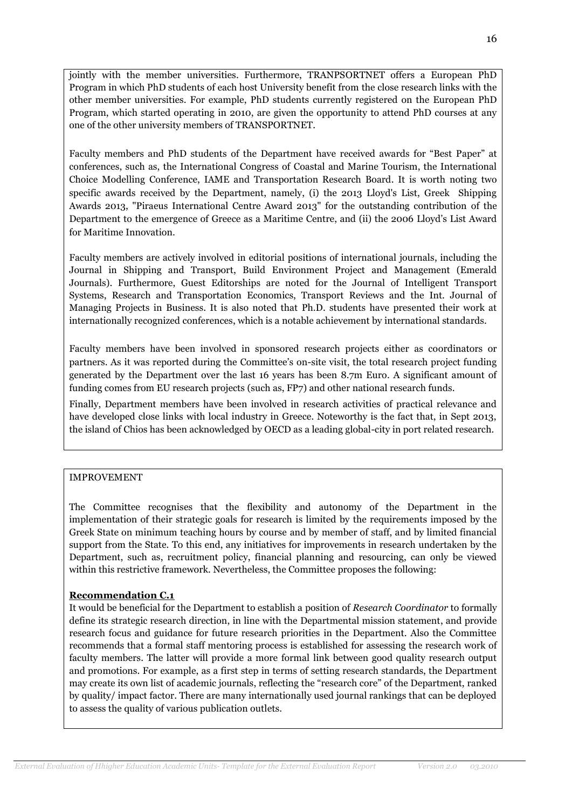jointly with the member universities. Furthermore, TRANPSORTNET offers a European PhD Program in which PhD students of each host University benefit from the close research links with the other member universities. For example, PhD students currently registered on the European PhD Program, which started operating in 2010, are given the opportunity to attend PhD courses at any one of the other university members of TRANSPORTNET.

Faculty members and PhD students of the Department have received awards for "Best Paper" at conferences, such as, the International Congress of Coastal and Marine Tourism, the International Choice Modelling Conference, ΙΑΜΕ and Transportation Research Board. It is worth noting two specific awards received by the Department, namely, (i) the 2013 Lloyd's List, Greek Shipping Awards 2013, "Piraeus International Centre Award 2013" for the outstanding contribution of the Department to the emergence of Greece as a Maritime Centre, and (ii) the 2006 Lloyd's List Award for Maritime Innovation.

Faculty members are actively involved in editorial positions of international journals, including the Journal in Shipping and Transport, Build Environment Project and Management (Emerald Journals). Furthermore, Guest Editorships are noted for the Journal of Intelligent Transport Systems, Research and Transportation Economics, Transport Reviews and the Int. Journal of Managing Projects in Business. It is also noted that Ph.D. students have presented their work at internationally recognized conferences, which is a notable achievement by international standards.

Faculty members have been involved in sponsored research projects either as coordinators or partners. As it was reported during the Committee's on-site visit, the total research project funding generated by the Department over the last 16 years has been 8.7m Euro. A significant amount of funding comes from EU research projects (such as, FP7) and other national research funds.

Finally, Department members have been involved in research activities of practical relevance and have developed close links with local industry in Greece. Noteworthy is the fact that, in Sept 2013, the island of Chios has been acknowledged by OECD as a leading global-city in port related research.

## IMPROVEMENT

The Committee recognises that the flexibility and autonomy of the Department in the implementation of their strategic goals for research is limited by the requirements imposed by the Greek State on minimum teaching hours by course and by member of staff, and by limited financial support from the State. To this end, any initiatives for improvements in research undertaken by the Department, such as, recruitment policy, financial planning and resourcing, can only be viewed within this restrictive framework. Nevertheless, the Committee proposes the following:

## **Recommendation C.1**

It would be beneficial for the Department to establish a position of *Research Coordinator* to formally define its strategic research direction, in line with the Departmental mission statement, and provide research focus and guidance for future research priorities in the Department. Also the Committee recommends that a formal staff mentoring process is established for assessing the research work of faculty members. The latter will provide a more formal link between good quality research output and promotions. For example, as a first step in terms of setting research standards, the Department may create its own list of academic journals, reflecting the "research core" of the Department, ranked by quality/ impact factor. There are many internationally used journal rankings that can be deployed to assess the quality of various publication outlets.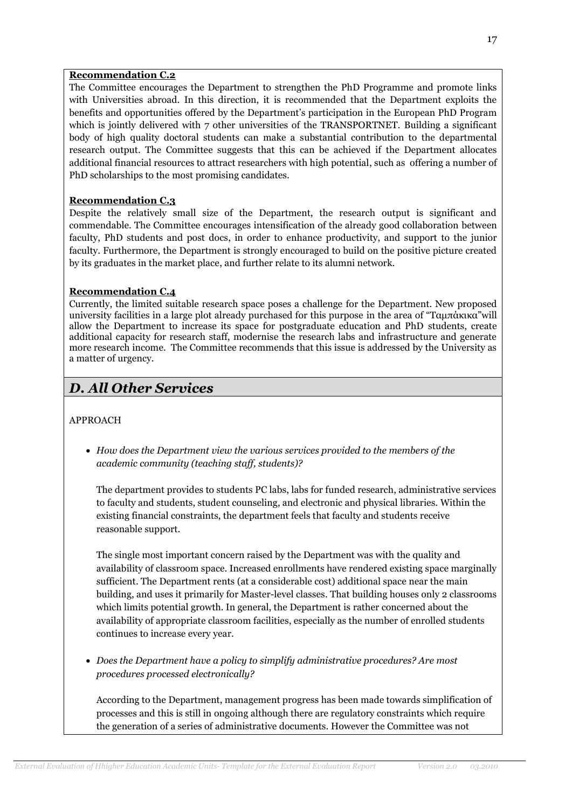#### **Recommendation C.2**

The Committee encourages the Department to strengthen the PhD Programme and promote links with Universities abroad. In this direction, it is recommended that the Department exploits the benefits and opportunities offered by the Department's participation in the European PhD Program which is jointly delivered with 7 other universities of the TRANSPORTNET. Building a significant body of high quality doctoral students can make a substantial contribution to the departmental research output. The Committee suggests that this can be achieved if the Department allocates additional financial resources to attract researchers with high potential, such as offering a number of PhD scholarships to the most promising candidates.

### **Recommendation C.3**

Despite the relatively small size of the Department, the research output is significant and commendable. The Committee encourages intensification of the already good collaboration between faculty, PhD students and post docs, in order to enhance productivity, and support to the junior faculty. Furthermore, the Department is strongly encouraged to build on the positive picture created by its graduates in the market place, and further relate to its alumni network.

### **Recommendation C.4**

Currently, the limited suitable research space poses a challenge for the Department. New proposed university facilities in a large plot already purchased for this purpose in the area of "Ταμπάκικα"will allow the Department to increase its space for postgraduate education and PhD students, create additional capacity for research staff, modernise the research labs and infrastructure and generate more research income. The Committee recommends that this issue is addressed by the University as a matter of urgency.

## *D. All Other Services*

## APPROACH

 *How does the Department view the various services provided to the members of the academic community (teaching staff, students)?*

The department provides to students PC labs, labs for funded research, administrative services to faculty and students, student counseling, and electronic and physical libraries. Within the existing financial constraints, the department feels that faculty and students receive reasonable support.

The single most important concern raised by the Department was with the quality and availability of classroom space. Increased enrollments have rendered existing space marginally sufficient. The Department rents (at a considerable cost) additional space near the main building, and uses it primarily for Master-level classes. That building houses only 2 classrooms which limits potential growth. In general, the Department is rather concerned about the availability of appropriate classroom facilities, especially as the number of enrolled students continues to increase every year.

 *Does the Department have a policy to simplify administrative procedures? Are most procedures processed electronically?*

According to the Department, management progress has been made towards simplification of processes and this is still in ongoing although there are regulatory constraints which require the generation of a series of administrative documents. However the Committee was not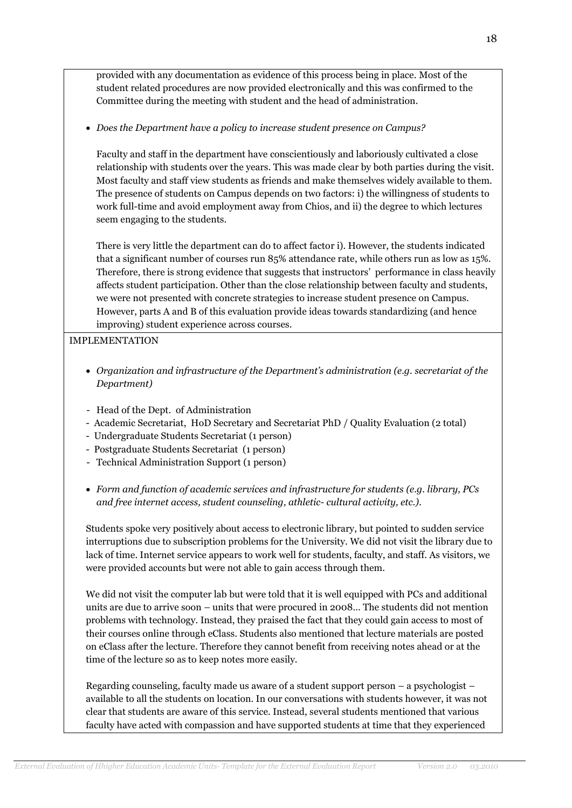provided with any documentation as evidence of this process being in place. Most of the student related procedures are now provided electronically and this was confirmed to the Committee during the meeting with student and the head of administration.

*Does the Department have a policy to increase student presence on Campus?*

Faculty and staff in the department have conscientiously and laboriously cultivated a close relationship with students over the years. This was made clear by both parties during the visit. Most faculty and staff view students as friends and make themselves widely available to them. The presence of students on Campus depends on two factors: i) the willingness of students to work full-time and avoid employment away from Chios, and ii) the degree to which lectures seem engaging to the students.

There is very little the department can do to affect factor i). However, the students indicated that a significant number of courses run 85% attendance rate, while others run as low as 15%. Therefore, there is strong evidence that suggests that instructors' performance in class heavily affects student participation. Other than the close relationship between faculty and students, we were not presented with concrete strategies to increase student presence on Campus. However, parts A and B of this evaluation provide ideas towards standardizing (and hence improving) student experience across courses.

### IMPLEMENTATION

- *Organization and infrastructure of the Department's administration (e.g. secretariat of the Department)*
- Head of the Dept. of Administration
- Academic Secretariat, HoD Secretary and Secretariat PhD / Quality Evaluation (2 total)
- Undergraduate Students Secretariat (1 person)
- Postgraduate Students Secretariat (1 person)
- Technical Administration Support (1 person)
- *Form and function of academic services and infrastructure for students (e.g. library, PCs and free internet access, student counseling, athletic- cultural activity, etc.).*

Students spoke very positively about access to electronic library, but pointed to sudden service interruptions due to subscription problems for the University. We did not visit the library due to lack of time. Internet service appears to work well for students, faculty, and staff. As visitors, we were provided accounts but were not able to gain access through them.

We did not visit the computer lab but were told that it is well equipped with PCs and additional units are due to arrive soon – units that were procured in 2008… The students did not mention problems with technology. Instead, they praised the fact that they could gain access to most of their courses online through eClass. Students also mentioned that lecture materials are posted on eClass after the lecture. Therefore they cannot benefit from receiving notes ahead or at the time of the lecture so as to keep notes more easily.

Regarding counseling, faculty made us aware of a student support person – a psychologist – available to all the students on location. In our conversations with students however, it was not clear that students are aware of this service. Instead, several students mentioned that various faculty have acted with compassion and have supported students at time that they experienced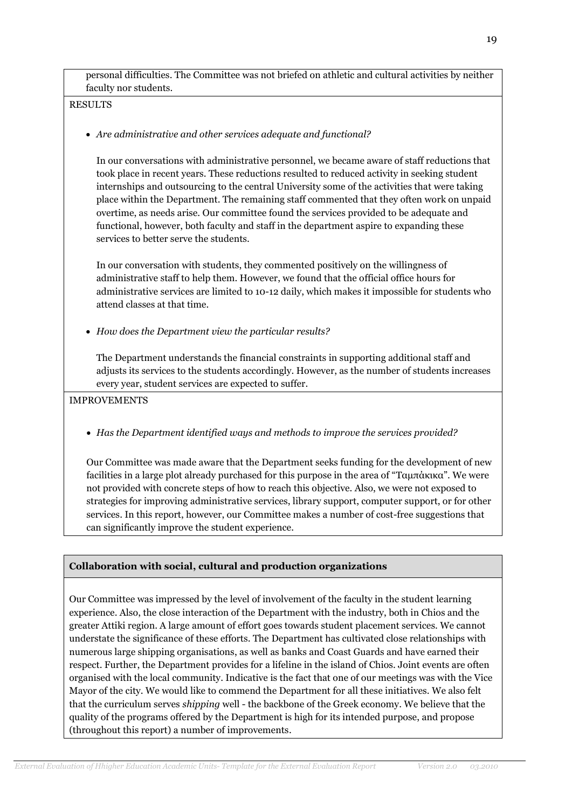personal difficulties. The Committee was not briefed on athletic and cultural activities by neither faculty nor students.

RESULTS

*Are administrative and other services adequate and functional?* 

In our conversations with administrative personnel, we became aware of staff reductions that took place in recent years. These reductions resulted to reduced activity in seeking student internships and outsourcing to the central University some of the activities that were taking place within the Department. The remaining staff commented that they often work on unpaid overtime, as needs arise. Our committee found the services provided to be adequate and functional, however, both faculty and staff in the department aspire to expanding these services to better serve the students.

In our conversation with students, they commented positively on the willingness of administrative staff to help them. However, we found that the official office hours for administrative services are limited to 10-12 daily, which makes it impossible for students who attend classes at that time.

*How does the Department view the particular results?*

The Department understands the financial constraints in supporting additional staff and adjusts its services to the students accordingly. However, as the number of students increases every year, student services are expected to suffer.

IMPROVEMENTS

*Has the Department identified ways and methods to improve the services provided?* 

Our Committee was made aware that the Department seeks funding for the development of new facilities in a large plot already purchased for this purpose in the area of "Ταμπάκικα". We were not provided with concrete steps of how to reach this objective. Also, we were not exposed to strategies for improving administrative services, library support, computer support, or for other services. In this report, however, our Committee makes a number of cost-free suggestions that can significantly improve the student experience.

## **Collaboration with social, cultural and production organizations**

Our Committee was impressed by the level of involvement of the faculty in the student learning experience. Also, the close interaction of the Department with the industry, both in Chios and the greater Attiki region. A large amount of effort goes towards student placement services. We cannot understate the significance of these efforts. The Department has cultivated close relationships with numerous large shipping organisations, as well as banks and Coast Guards and have earned their respect. Further, the Department provides for a lifeline in the island of Chios. Joint events are often organised with the local community. Indicative is the fact that one of our meetings was with the Vice Mayor of the city. We would like to commend the Department for all these initiatives. We also felt that the curriculum serves *shipping* well - the backbone of the Greek economy. We believe that the quality of the programs offered by the Department is high for its intended purpose, and propose (throughout this report) a number of improvements.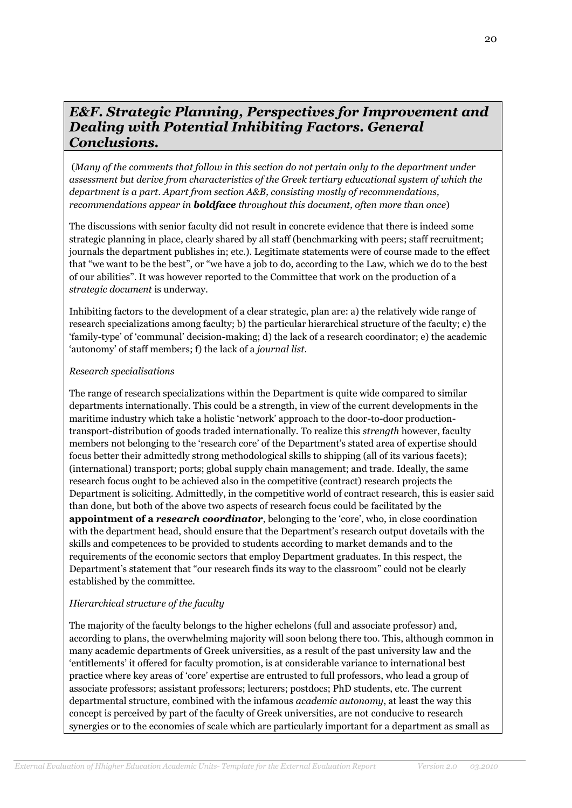## *E&F. Strategic Planning, Perspectives for Improvement and Dealing with Potential Inhibiting Factors. General Conclusions.*

(*Many of the comments that follow in this section do not pertain only to the department under assessment but derive from characteristics of the Greek tertiary educational system of which the department is a part. Apart from section A&B, consisting mostly of recommendations, recommendations appear in boldface throughout this document, often more than once*)

The discussions with senior faculty did not result in concrete evidence that there is indeed some strategic planning in place, clearly shared by all staff (benchmarking with peers; staff recruitment; journals the department publishes in; etc.). Legitimate statements were of course made to the effect that "we want to be the best", or "we have a job to do, according to the Law, which we do to the best of our abilities". It was however reported to the Committee that work on the production of a *strategic document* is underway.

Inhibiting factors to the development of a clear strategic, plan are: a) the relatively wide range of research specializations among faculty; b) the particular hierarchical structure of the faculty; c) the 'family-type' of 'communal' decision-making; d) the lack of a research coordinator; e) the academic 'autonomy' of staff members; f) the lack of a *journal list*.

### *Research specialisations*

The range of research specializations within the Department is quite wide compared to similar departments internationally. This could be a strength, in view of the current developments in the maritime industry which take a holistic 'network' approach to the door-to-door productiontransport-distribution of goods traded internationally. To realize this *strength* however, faculty members not belonging to the 'research core' of the Department's stated area of expertise should focus better their admittedly strong methodological skills to shipping (all of its various facets); (international) transport; ports; global supply chain management; and trade. Ideally, the same research focus ought to be achieved also in the competitive (contract) research projects the Department is soliciting. Admittedly, in the competitive world of contract research, this is easier said than done, but both of the above two aspects of research focus could be facilitated by the **appointment of a** *research coordinator*, belonging to the 'core', who, in close coordination with the department head, should ensure that the Department's research output dovetails with the skills and competences to be provided to students according to market demands and to the requirements of the economic sectors that employ Department graduates. In this respect, the Department's statement that "our research finds its way to the classroom" could not be clearly established by the committee.

## *Hierarchical structure of the faculty*

The majority of the faculty belongs to the higher echelons (full and associate professor) and, according to plans, the overwhelming majority will soon belong there too. This, although common in many academic departments of Greek universities, as a result of the past university law and the 'entitlements' it offered for faculty promotion, is at considerable variance to international best practice where key areas of 'core' expertise are entrusted to full professors, who lead a group of associate professors; assistant professors; lecturers; postdocs; PhD students, etc. The current departmental structure, combined with the infamous *academic autonomy*, at least the way this concept is perceived by part of the faculty of Greek universities, are not conducive to research synergies or to the economies of scale which are particularly important for a department as small as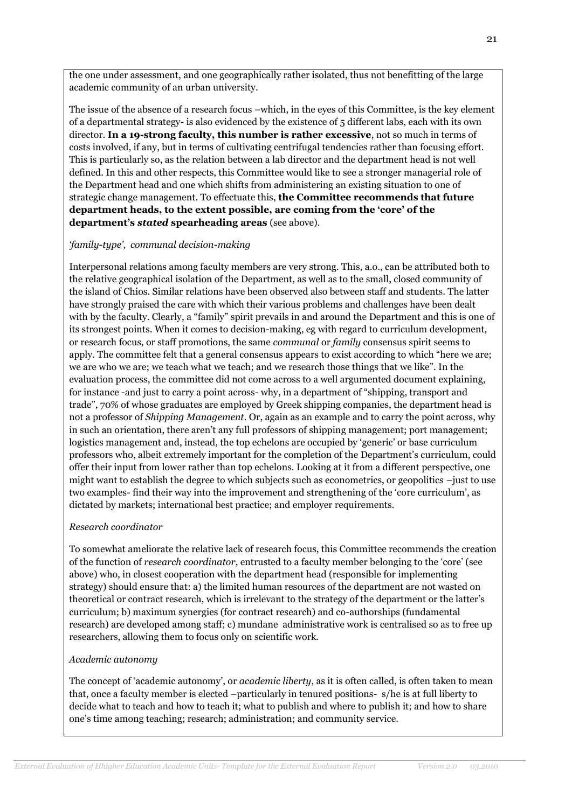the one under assessment, and one geographically rather isolated, thus not benefitting of the large academic community of an urban university.

The issue of the absence of a research focus –which, in the eyes of this Committee, is the key element of a departmental strategy- is also evidenced by the existence of 5 different labs, each with its own director. **In a 19-strong faculty, this number is rather excessive**, not so much in terms of costs involved, if any, but in terms of cultivating centrifugal tendencies rather than focusing effort. This is particularly so, as the relation between a lab director and the department head is not well defined. In this and other respects, this Committee would like to see a stronger managerial role of the Department head and one which shifts from administering an existing situation to one of strategic change management. To effectuate this, **the Committee recommends that future department heads, to the extent possible, are coming from the 'core' of the department's** *stated* **spearheading areas** (see above).

### *'family-type', communal decision-making*

Interpersonal relations among faculty members are very strong. This, a.o., can be attributed both to the relative geographical isolation of the Department, as well as to the small, closed community of the island of Chios. Similar relations have been observed also between staff and students. The latter have strongly praised the care with which their various problems and challenges have been dealt with by the faculty. Clearly, a "family" spirit prevails in and around the Department and this is one of its strongest points. When it comes to decision-making, eg with regard to curriculum development, or research focus, or staff promotions, the same *communal* or *family* consensus spirit seems to apply. The committee felt that a general consensus appears to exist according to which "here we are; we are who we are; we teach what we teach; and we research those things that we like". In the evaluation process, the committee did not come across to a well argumented document explaining, for instance -and just to carry a point across- why, in a department of "shipping, transport and trade", 70% of whose graduates are employed by Greek shipping companies, the department head is not a professor of *Shipping Management*. Or, again as an example and to carry the point across, why in such an orientation, there aren't any full professors of shipping management; port management; logistics management and, instead, the top echelons are occupied by 'generic' or base curriculum professors who, albeit extremely important for the completion of the Department's curriculum, could offer their input from lower rather than top echelons. Looking at it from a different perspective, one might want to establish the degree to which subjects such as econometrics, or geopolitics –just to use two examples- find their way into the improvement and strengthening of the 'core curriculum', as dictated by markets; international best practice; and employer requirements.

#### *Research coordinator*

To somewhat ameliorate the relative lack of research focus, this Committee recommends the creation of the function of *research coordinator*, entrusted to a faculty member belonging to the 'core' (see above) who, in closest cooperation with the department head (responsible for implementing strategy) should ensure that: a) the limited human resources of the department are not wasted on theoretical or contract research, which is irrelevant to the strategy of the department or the latter's curriculum; b) maximum synergies (for contract research) and co-authorships (fundamental research) are developed among staff; c) mundane administrative work is centralised so as to free up researchers, allowing them to focus only on scientific work.

#### *Academic autonomy*

The concept of 'academic autonomy', or *academic liberty*, as it is often called, is often taken to mean that, once a faculty member is elected –particularly in tenured positions- s/he is at full liberty to decide what to teach and how to teach it; what to publish and where to publish it; and how to share one's time among teaching; research; administration; and community service.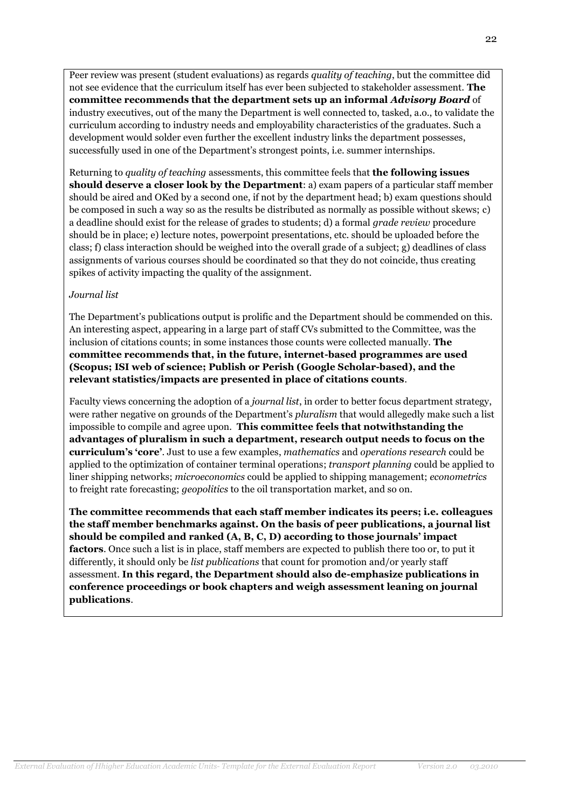Peer review was present (student evaluations) as regards *quality of teaching*, but the committee did not see evidence that the curriculum itself has ever been subjected to stakeholder assessment. **The committee recommends that the department sets up an informal** *Advisory Board* of industry executives, out of the many the Department is well connected to, tasked, a.o., to validate the curriculum according to industry needs and employability characteristics of the graduates. Such a development would solder even further the excellent industry links the department possesses, successfully used in one of the Department's strongest points, i.e. summer internships.

Returning to *quality of teaching* assessments, this committee feels that **the following issues should deserve a closer look by the Department**: a) exam papers of a particular staff member should be aired and OKed by a second one, if not by the department head; b) exam questions should be composed in such a way so as the results be distributed as normally as possible without skews; c) a deadline should exist for the release of grades to students; d) a formal *grade review* procedure should be in place; e) lecture notes, powerpoint presentations, etc. should be uploaded before the class; f) class interaction should be weighed into the overall grade of a subject; g) deadlines of class assignments of various courses should be coordinated so that they do not coincide, thus creating spikes of activity impacting the quality of the assignment.

### *Journal list*

The Department's publications output is prolific and the Department should be commended on this. An interesting aspect, appearing in a large part of staff CVs submitted to the Committee, was the inclusion of citations counts; in some instances those counts were collected manually. **The committee recommends that, in the future, internet-based programmes are used (Scopus; ISI web of science; Publish or Perish (Google Scholar-based), and the relevant statistics/impacts are presented in place of citations counts**.

Faculty views concerning the adoption of a *journal list*, in order to better focus department strategy, were rather negative on grounds of the Department's *pluralism* that would allegedly make such a list impossible to compile and agree upon. **This committee feels that notwithstanding the advantages of pluralism in such a department, research output needs to focus on the curriculum's 'core'**. Just to use a few examples, *mathematics* and *operations research* could be applied to the optimization of container terminal operations; *transport planning* could be applied to liner shipping networks; *microeconomics* could be applied to shipping management; *econometrics*  to freight rate forecasting; *geopolitics* to the oil transportation market, and so on.

**The committee recommends that each staff member indicates its peers; i.e. colleagues the staff member benchmarks against. On the basis of peer publications, a journal list should be compiled and ranked (A, B, C, D) according to those journals' impact factors**. Once such a list is in place, staff members are expected to publish there too or, to put it differently, it should only be *list publications* that count for promotion and/or yearly staff assessment. **In this regard, the Department should also de-emphasize publications in conference proceedings or book chapters and weigh assessment leaning on journal publications**.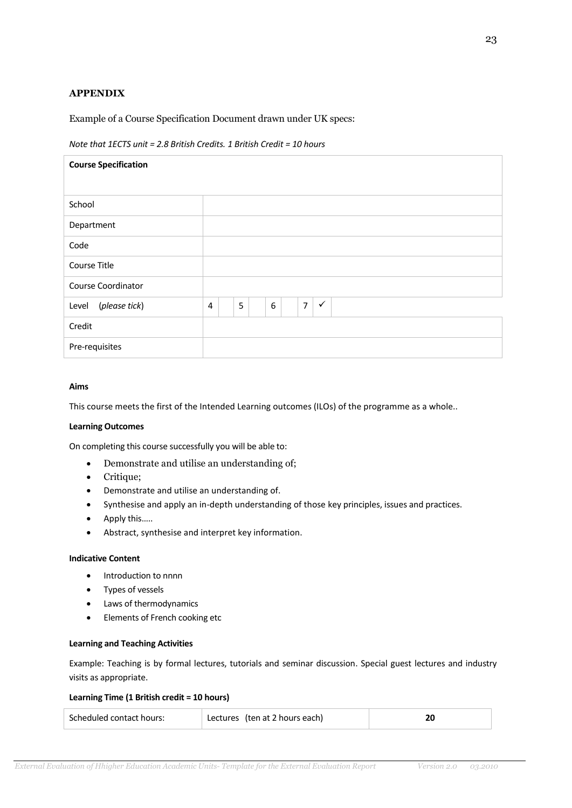### **APPENDIX**

Example of a Course Specification Document drawn under UK specs:

#### *Note that 1ECTS unit = 2.8 British Credits. 1 British Credit = 10 hours*

| <b>Course Specification</b> |                                                            |  |  |
|-----------------------------|------------------------------------------------------------|--|--|
|                             |                                                            |  |  |
| School                      |                                                            |  |  |
| Department                  |                                                            |  |  |
| Code                        |                                                            |  |  |
| Course Title                |                                                            |  |  |
| Course Coordinator          |                                                            |  |  |
| (please tick)<br>Level      | $\overline{7}$<br>$\checkmark$<br>5<br>6<br>$\overline{4}$ |  |  |
| Credit                      |                                                            |  |  |
| Pre-requisites              |                                                            |  |  |

#### **Aims**

This course meets the first of the Intended Learning outcomes (ILOs) of the programme as a whole..

#### **Learning Outcomes**

On completing this course successfully you will be able to:

- Demonstrate and utilise an understanding of;
- Critique;
- Demonstrate and utilise an understanding of.
- Synthesise and apply an in-depth understanding of those key principles, issues and practices.
- Apply this……
- Abstract, synthesise and interpret key information.

#### **Indicative Content**

- Introduction to nnnn
- Types of vessels
- Laws of thermodynamics
- Elements of French cooking etc

#### **Learning and Teaching Activities**

Example: Teaching is by formal lectures, tutorials and seminar discussion. Special guest lectures and industry visits as appropriate.

#### **Learning Time (1 British credit = 10 hours)**

| Scheduled contact hours: | Lectures (ten at 2 hours each) |  |
|--------------------------|--------------------------------|--|
|                          |                                |  |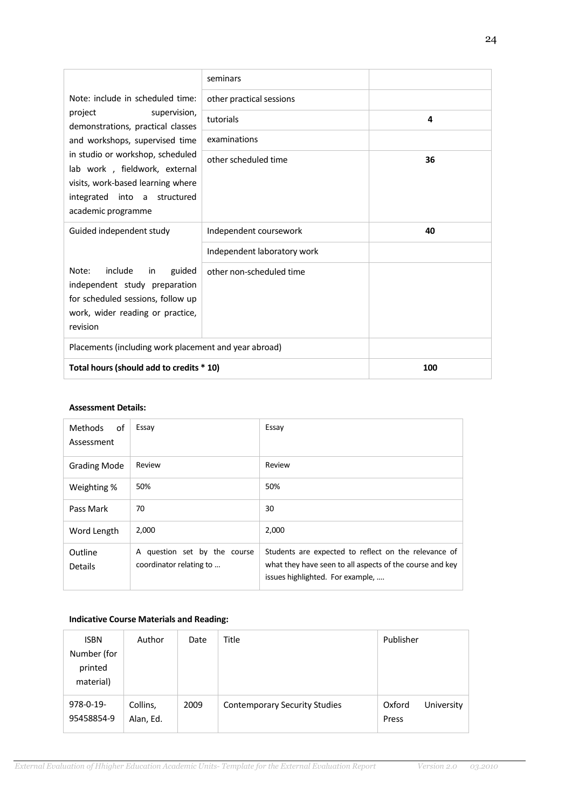|                                                                                                                                                                 | seminars                    |     |
|-----------------------------------------------------------------------------------------------------------------------------------------------------------------|-----------------------------|-----|
| Note: include in scheduled time:                                                                                                                                | other practical sessions    |     |
| project<br>supervision,<br>demonstrations, practical classes                                                                                                    | tutorials                   | 4   |
| and workshops, supervised time                                                                                                                                  | examinations                |     |
| in studio or workshop, scheduled<br>lab work, fieldwork, external<br>visits, work-based learning where<br>into a structured<br>integrated<br>academic programme | other scheduled time        | 36  |
| Guided independent study                                                                                                                                        | Independent coursework      | 40  |
|                                                                                                                                                                 | Independent laboratory work |     |
| include<br>Note:<br>guided<br>in<br>independent study preparation<br>for scheduled sessions, follow up<br>work, wider reading or practice,<br>revision          | other non-scheduled time    |     |
| Placements (including work placement and year abroad)                                                                                                           |                             |     |
| Total hours (should add to credits * 10)                                                                                                                        |                             | 100 |

#### **Assessment Details:**

| Methods<br>0f<br>Assessment | Essay                                                   | Essay                                                                                                                                                |
|-----------------------------|---------------------------------------------------------|------------------------------------------------------------------------------------------------------------------------------------------------------|
| <b>Grading Mode</b>         | Review                                                  | Review                                                                                                                                               |
| Weighting %                 | 50%                                                     | 50%                                                                                                                                                  |
| Pass Mark                   | 70                                                      | 30                                                                                                                                                   |
| Word Length                 | 2,000                                                   | 2,000                                                                                                                                                |
| Outline<br><b>Details</b>   | A question set by the course<br>coordinator relating to | Students are expected to reflect on the relevance of<br>what they have seen to all aspects of the course and key<br>issues highlighted. For example, |

### **Indicative Course Materials and Reading:**

| <b>ISBN</b> | Author    | Date | Title                                | Publisher |            |
|-------------|-----------|------|--------------------------------------|-----------|------------|
| Number (for |           |      |                                      |           |            |
| printed     |           |      |                                      |           |            |
| material)   |           |      |                                      |           |            |
| 978-0-19-   | Collins,  | 2009 | <b>Contemporary Security Studies</b> | Oxford    | University |
| 95458854-9  | Alan, Ed. |      |                                      | Press     |            |
|             |           |      |                                      |           |            |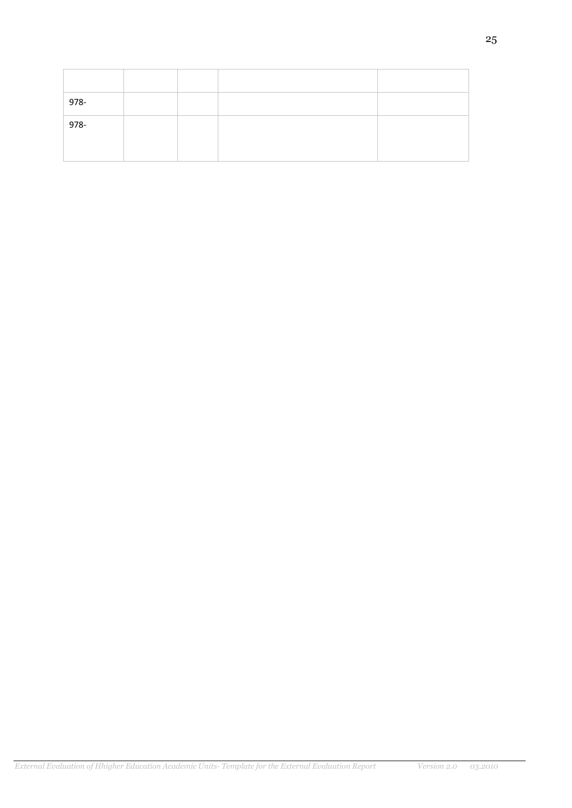| 978- |  |  |
|------|--|--|
| 978- |  |  |
|      |  |  |